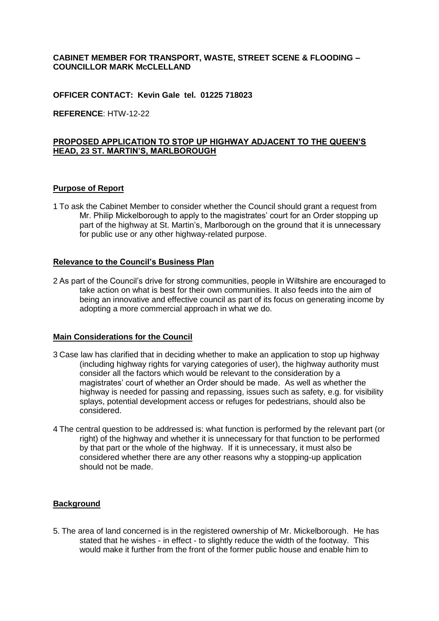## **CABINET MEMBER FOR TRANSPORT, WASTE, STREET SCENE & FLOODING – COUNCILLOR MARK McCLELLAND**

### **OFFICER CONTACT: Kevin Gale tel. 01225 718023**

**REFERENCE**: HTW-12-22

# **PROPOSED APPLICATION TO STOP UP HIGHWAY ADJACENT TO THE QUEEN'S HEAD, 23 ST. MARTIN'S, MARLBOROUGH**

#### **Purpose of Report**

1 To ask the Cabinet Member to consider whether the Council should grant a request from Mr. Philip Mickelborough to apply to the magistrates' court for an Order stopping up part of the highway at St. Martin's, Marlborough on the ground that it is unnecessary for public use or any other highway-related purpose.

## **Relevance to the Council's Business Plan**

2 As part of the Council's drive for strong communities, people in Wiltshire are encouraged to take action on what is best for their own communities. It also feeds into the aim of being an innovative and effective council as part of its focus on generating income by adopting a more commercial approach in what we do.

### **Main Considerations for the Council**

- 3 Case law has clarified that in deciding whether to make an application to stop up highway (including highway rights for varying categories of user), the highway authority must consider all the factors which would be relevant to the consideration by a magistrates' court of whether an Order should be made. As well as whether the highway is needed for passing and repassing, issues such as safety, e.g. for visibility splays, potential development access or refuges for pedestrians, should also be considered.
- 4 The central question to be addressed is: what function is performed by the relevant part (or right) of the highway and whether it is unnecessary for that function to be performed by that part or the whole of the highway. If it is unnecessary, it must also be considered whether there are any other reasons why a stopping-up application should not be made.

## **Background**

5. The area of land concerned is in the registered ownership of Mr. Mickelborough. He has stated that he wishes - in effect - to slightly reduce the width of the footway. This would make it further from the front of the former public house and enable him to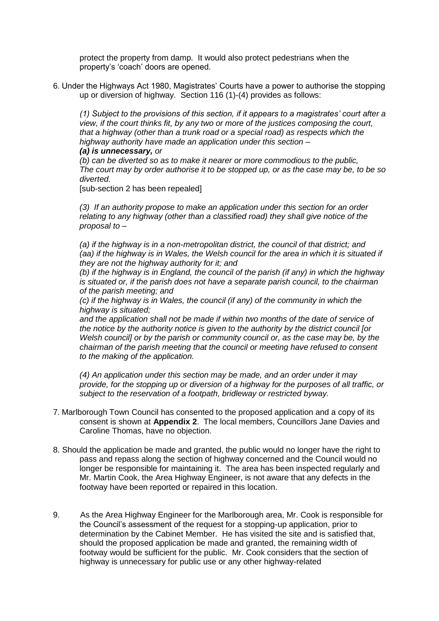protect the property from damp. It would also protect pedestrians when the property's 'coach' doors are opened.

6. Under the Highways Act 1980, Magistrates' Courts have a power to authorise the stopping up or diversion of highway. Section 116 (1)-(4) provides as follows:

*(1) Subject to the provisions of this section, if it appears to a magistrates' court after a view, if the court thinks fit, by any two or more of the justices composing the court, that a highway (other than a trunk road or a special road) as respects which the highway authority have made an application under this section – (a) is unnecessary, or*

*(b) can be diverted so as to make it nearer or more commodious to the public, The court may by order authorise it to be stopped up, or as the case may be, to be so diverted.*

[sub-section 2 has been repealed]

*(3) If an authority propose to make an application under this section for an order relating to any highway (other than a classified road) they shall give notice of the proposal to –*

*(a) if the highway is in a non-metropolitan district, the council of that district; and (aa) if the highway is in Wales, the Welsh council for the area in which it is situated if they are not the highway authority for it; and*

*(b) if the highway is in England, the council of the parish (if any) in which the highway is situated or, if the parish does not have a separate parish council, to the chairman of the parish meeting; and*

*(c) if the highway is in Wales, the council (if any) of the community in which the highway is situated;*

and the application shall not be made if within two months of the date of service of *the notice by the authority notice is given to the authority by the district council [or Welsh council] or by the parish or community council or, as the case may be, by the chairman of the parish meeting that the council or meeting have refused to consent to the making of the application.*

*(4) An application under this section may be made, and an order under it may provide, for the stopping up or diversion of a highway for the purposes of all traffic, or subject to the reservation of a footpath, bridleway or restricted byway.*

- 7. Marlborough Town Council has consented to the proposed application and a copy of its consent is shown at **Appendix 2**. The local members, Councillors Jane Davies and Caroline Thomas, have no objection.
- 8. Should the application be made and granted, the public would no longer have the right to pass and repass along the section of highway concerned and the Council would no longer be responsible for maintaining it. The area has been inspected regularly and Mr. Martin Cook, the Area Highway Engineer, is not aware that any defects in the footway have been reported or repaired in this location.
- 9. As the Area Highway Engineer for the Marlborough area, Mr. Cook is responsible for the Council's assessment of the request for a stopping-up application, prior to determination by the Cabinet Member. He has visited the site and is satisfied that, should the proposed application be made and granted, the remaining width of footway would be sufficient for the public. Mr. Cook considers that the section of highway is unnecessary for public use or any other highway-related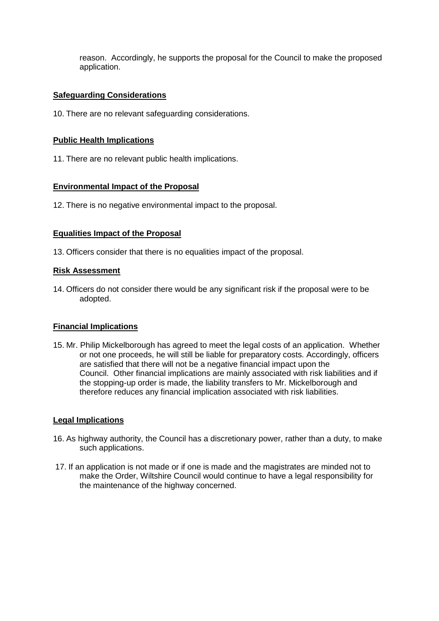reason. Accordingly, he supports the proposal for the Council to make the proposed application.

# **Safeguarding Considerations**

10. There are no relevant safeguarding considerations.

## **Public Health Implications**

11. There are no relevant public health implications.

### **Environmental Impact of the Proposal**

12. There is no negative environmental impact to the proposal.

### **Equalities Impact of the Proposal**

13. Officers consider that there is no equalities impact of the proposal.

### **Risk Assessment**

14. Officers do not consider there would be any significant risk if the proposal were to be adopted.

#### **Financial Implications**

15. Mr. Philip Mickelborough has agreed to meet the legal costs of an application. Whether or not one proceeds, he will still be liable for preparatory costs. Accordingly, officers are satisfied that there will not be a negative financial impact upon the Council. Other financial implications are mainly associated with risk liabilities and if the stopping-up order is made, the liability transfers to Mr. Mickelborough and therefore reduces any financial implication associated with risk liabilities.

#### **Legal Implications**

- 16. As highway authority, the Council has a discretionary power, rather than a duty, to make such applications.
- 17. If an application is not made or if one is made and the magistrates are minded not to make the Order, Wiltshire Council would continue to have a legal responsibility for the maintenance of the highway concerned.